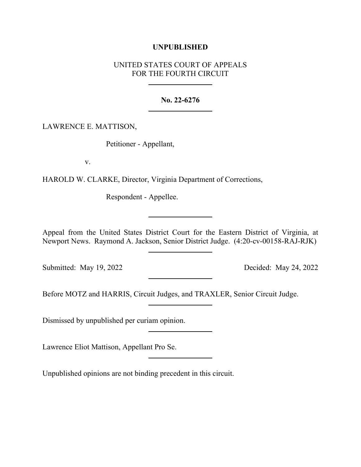## **UNPUBLISHED**

## UNITED STATES COURT OF APPEALS FOR THE FOURTH CIRCUIT

## **No. 22-6276**

LAWRENCE E. MATTISON,

Petitioner - Appellant,

v.

HAROLD W. CLARKE, Director, Virginia Department of Corrections,

Respondent - Appellee.

Appeal from the United States District Court for the Eastern District of Virginia, at Newport News. Raymond A. Jackson, Senior District Judge. (4:20-cv-00158-RAJ-RJK)

Submitted: May 19, 2022 Decided: May 24, 2022

Before MOTZ and HARRIS, Circuit Judges, and TRAXLER, Senior Circuit Judge.

Dismissed by unpublished per curiam opinion.

Lawrence Eliot Mattison, Appellant Pro Se.

Unpublished opinions are not binding precedent in this circuit.